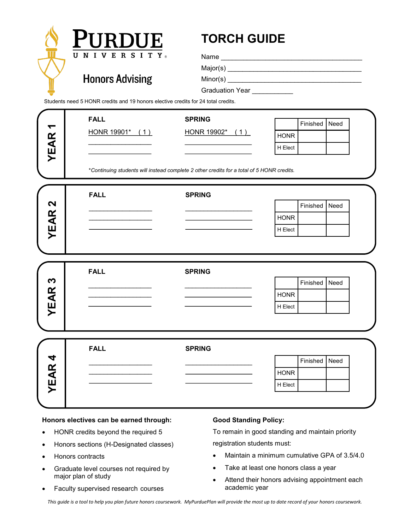

## **Honors electives can be earned through:**

- HONR credits beyond the required 5
- Honors sections (H-Designated classes)
- Honors contracts
- Graduate level courses not required by major plan of study
- Faculty supervised research courses

## **Good Standing Policy:**

To remain in good standing and maintain priority registration students must:

- Maintain a minimum cumulative GPA of 3.5/4.0
- Take at least one honors class a year
- Attend their honors advising appointment each academic year

*This guide is a tool to help you plan future honors coursework. MyPurduePlan will provide the most up to date record of your honors coursework.*